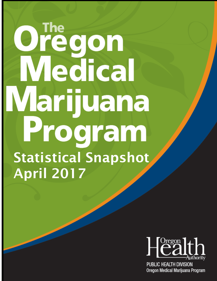# Ore egon Medical Marijuana Program Statistical Snapshot April 2017



**PUBLIC HEALTH DIVISION** Oregon Medical Marijuana Program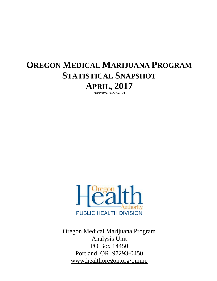# **OREGON MEDICAL MARIJUANA PROGRAM STATISTICAL SNAPSHOT APRIL, 2017**

*(REVISED 03/22/2017)*



Oregon Medical Marijuana Program Analysis Unit PO Box 14450 Portland, OR 97293-0450 www.healthoregon.org/ommp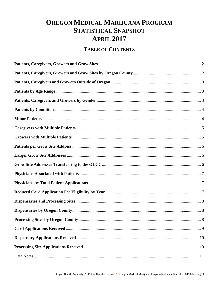# **OREGON MEDICAL MARIJUANA PROGRAM STATISTICAL SNAPSHOT APRIL 2017**

### **TABLE OF CONTENTS**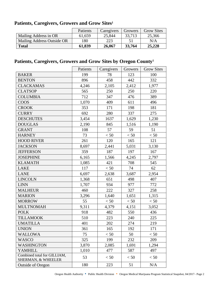|                              | Patients | Caregivers | Growers | <b>Grow Sites</b> |
|------------------------------|----------|------------|---------|-------------------|
| <b>Mailing Address in OR</b> | 61,659   | 25,844     | 33,713  | 25,366            |
| Mailing Address Outside OR   | 180      | 223        |         | N/A               |
| <b>Total</b>                 | 61,839   | 26,067     | 33,764  | 25,228            |

### <span id="page-3-0"></span>**Patients, Caregivers, Growers and Grow Sites<sup>1</sup>**

### <span id="page-3-1"></span>**Patients, Caregivers, Growers and Grow Sites by Oregon County<sup>1</sup>**

|                                                   | Patients | Caregivers | Growers | <b>Grow Sites</b> |
|---------------------------------------------------|----------|------------|---------|-------------------|
| <b>BAKER</b>                                      | 199      | 78         | 123     | 100               |
| <b>BENTON</b>                                     | 896      | 458        | 442     | 332               |
| <b>CLACKAMAS</b>                                  | 4,246    | 2,105      | 2,412   | 1,977             |
| <b>CLATSOP</b>                                    | 565      | 250        | 250     | 220               |
| <b>COLUMBIA</b>                                   | 712      | 347        | 476     | 389               |
| <b>COOS</b>                                       | 1,070    | 409        | 611     | 496               |
| <b>CROOK</b>                                      | 353      | 171        | 198     | 181               |
| <b>CURRY</b>                                      | 692      | 280        | 337     | 275               |
| <b>DESCHUTES</b>                                  | 3,454    | 1637       | 1,629   | 1,230             |
| <b>DOUGLAS</b>                                    | 2,190    | 845        | 1,516   | 1,190             |
| <b>GRANT</b>                                      | 108      | 57         | 59      | 51                |
| <b>HARNEY</b>                                     | 73       | < 50       | < 50    | < 50              |
| <b>HOOD RIVER</b>                                 | 261      | 120        | 165     | 121               |
| <b>JACKSON</b>                                    | 8,697    | 2,441      | 5,031   | 3,130             |
| <b>JEFFERSON</b>                                  | 359      | 187        | 197     | 167               |
| <b>JOSEPHINE</b>                                  | 6,165    | 1,566      | 4,245   | 2,797             |
| <b>KLAMATH</b>                                    | 1,085    | 421        | 708     | 545               |
| <b>LAKE</b>                                       | 117      | < 50       | 74      | 62                |
| <b>LANE</b>                                       | 6,697    | 2,638      | 3,687   | 2,954             |
| <b>LINCOLN</b>                                    | 1,368    | 651        | 498     | 407               |
| <b>LINN</b>                                       | 1,707    | 934        | 977     | 772               |
| <b>MALHEUR</b>                                    | 460      | 222        | 327     | 258               |
| <b>MARION</b>                                     | 3,296    | 1,640      | 1,651   | 1,315             |
| <b>MORROW</b>                                     | 55       | < 50       | < 50    | < 50              |
| <b>MULTNOMAH</b>                                  | 9,311    | 4,379      | 4,151   | 3,052             |
| <b>POLK</b>                                       | 918      | 482        | 550     | 436               |
| <b>TILLAMOOK</b>                                  | 510      | 223        | 240     | 225               |
| <b>UMATILLA</b>                                   | 401      | 202        | 274     | 219               |
| <b>UNION</b>                                      | 361      | 165        | 192     | 171               |
| <b>WALLOWA</b>                                    | 75       | < 50       | 50      | < 50              |
| <b>WASCO</b>                                      | 325      | 199        | 232     | 209               |
| <b>WASHINGTON</b>                                 | 3,870    | 2,085      | 1,691   | 1,294             |
| <b>YAMHILL</b>                                    | 1,010    | 477        | 587     | 497               |
| Combined total for GILLIAM,<br>SHERMAN, & WHEELER | 53       | < 50       | < 50    | < 50              |
| <b>Outside of Oregon</b>                          | 180      | 223        | 51      | N/A               |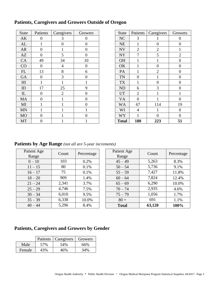| <b>State</b>   | Patients       | Caregivers     | Growers        | State        | Patients       | Caregivers       | Growers          |
|----------------|----------------|----------------|----------------|--------------|----------------|------------------|------------------|
| AK             | $\Omega$       | 3              | $\theta$       | NC           | 3              |                  | $\theta$         |
| AL             |                | $\overline{0}$ | $\theta$       | <b>NE</b>    |                | $\boldsymbol{0}$ | $\boldsymbol{0}$ |
| <b>AR</b>      | $\Omega$       |                | $\theta$       | <b>NV</b>    | $\overline{2}$ | $\overline{2}$   |                  |
| AZ             | $\overline{0}$ | 5              | $\overline{0}$ | <b>NY</b>    | 7              | 5                | $\overline{2}$   |
| CA             | 49             | 34             | 10             | <b>OH</b>    |                |                  | $\overline{0}$   |
| CO             | $\Omega$       | $\overline{4}$ | $\theta$       | OK           |                | $\theta$         | $\overline{0}$   |
| $\mathbf{FL}$  | 13             | 8              | 6              | PA           |                | $\overline{2}$   | $\boldsymbol{0}$ |
| <b>GA</b>      | $\overline{0}$ | 3              | $\theta$       | <b>TN</b>    | $\theta$       |                  | $\overline{0}$   |
| H <sub>I</sub> |                |                |                | <b>TX</b>    |                | $\overline{0}$   | $\overline{0}$   |
| ID             | 17             | 25             | 9              | <b>ND</b>    | 6              | 3                | $\theta$         |
| $\mathbf{L}$   | $\overline{0}$ | $\overline{2}$ | $\theta$       | <b>UT</b>    | $\overline{2}$ |                  |                  |
| MA             | $\overline{0}$ |                | $\overline{0}$ | <b>VA</b>    | $\overline{0}$ |                  | $\boldsymbol{0}$ |
| MI             |                |                | $\theta$       | <b>WA</b>    | 67             | 114              | 19               |
| <b>MN</b>      |                |                |                | WI           | $\overline{4}$ |                  | $\boldsymbol{0}$ |
| <b>MO</b>      | $\Omega$       |                | $\Omega$       | <b>WY</b>    |                | $\Omega$         | $\Omega$         |
| <b>MT</b>      | $\overline{0}$ |                |                | <b>Total</b> | 180            | 223              | 51               |

### <span id="page-4-0"></span>**Patients, Caregivers and Growers Outside of Oregon**

| <b>State</b>   | Patients       | Caregivers     | Growers        |
|----------------|----------------|----------------|----------------|
| <b>NC</b>      | 3              | 1              | 0              |
| <b>NE</b>      | 1              | $\overline{0}$ | 0              |
| <b>NV</b>      | $\overline{2}$ | $\overline{2}$ | $\mathbf 1$    |
| <b>NY</b>      | 7              | 5              | $\overline{2}$ |
| OH             | 1              | 1              | $\overline{0}$ |
| OK             | 1              | 0              | 0              |
| PA             | $\mathbf{1}$   | $\overline{2}$ | $\overline{0}$ |
| <b>TN</b>      | 0              | 1              | $\pmb{0}$      |
| <b>TX</b>      | 1              | 0              | 0              |
| N <sub>D</sub> | 6              | 3              | $\overline{0}$ |
| <b>UT</b>      | $\overline{2}$ | 1              | 1              |
| <b>VA</b>      | 0              | 1              | 0              |
| <b>WA</b>      | 67             | 114            | 19             |
| WI             | $\overline{4}$ | 1              | 0              |
| <b>WY</b>      | 1              | 0              | 0              |
| <b>Total</b>   | 180            | 223            | 51             |

<span id="page-4-1"></span>**Patients by Age Range** *(not all are 5-year increments)*

| Patient Age<br>Range | Count | Percentage | Patient Age<br>Range | Count  | Percentage |
|----------------------|-------|------------|----------------------|--------|------------|
| $0 - 10$             | 103   | 0.2%       | $45 - 49$            | 5,263  | 8.3%       |
| $11 - 15$            | 80    | 0.1%       | $50 - 54$            | 5,736  | 9.1%       |
| $16 - 17$            | 75    | 0.1%       | $55 - 59$            | 7,427  | 11.8%      |
| $18 - 20$            | 909   | 1.4%       | $60 - 64$            | 7,824  | 12.4%      |
| $21 - 24$            | 2,341 | 3.7%       | $65 - 69$            | 6,290  | 10.0%      |
| $25 - 29$            | 4,746 | 7.5%       | $70 - 74$            | 2,935  | 4.6%       |
| $30 - 34$            | 6,010 | 9.5%       | $75 - 79$            | 1,056  | 1.7%       |
| $35 - 39$            | 6,338 | 10.0%      | $80 +$               | 691    | 1.1%       |
| $40 - 44$            | 5,296 | 8.4%       | <b>Total</b>         | 63,120 | 100%       |

#### <span id="page-4-2"></span>**Patients, Caregivers and Growers by Gender**

|        |     | Patients   Caregivers | Growers |
|--------|-----|-----------------------|---------|
| Male   | 57% | 54%                   | 66%     |
| Female | 43% | 46%                   | 34%     |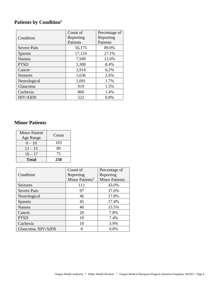# <span id="page-5-0"></span>**Patients by Condition<sup>2</sup>**

|                 | Count of  | Percentage of |
|-----------------|-----------|---------------|
| Condition       | Reporting | Reporting     |
|                 | Patients  | Patients      |
| Severe Pain     | 56,175    | 89.0%         |
| <b>Spasms</b>   | 17,124    | 27.1%         |
| Nausea          | 7,949     | 12.6%         |
| <b>PTSD</b>     | 5,308     | 8.4%          |
| Cancer          | 3,914     | 6.2%          |
| Seizures        | 1,636     | 2.6%          |
| Neurological    | 1,091     | 1.7%          |
| Glaucoma        | 919       | 1.5%          |
| Cachexia        | 860       | 1.4%          |
| <b>HIV/AIDS</b> | 522       | 0.8%          |

#### <span id="page-5-1"></span>**Minor Patients**

| <b>Minor Patient</b><br>Age Range | Count |
|-----------------------------------|-------|
| $0 - 10$                          | 103   |
| $11 - 15$                         | 80    |
| $16 - 17$                         | 75    |
| <b>Total</b>                      | 258   |

|                    | Count of                    | Percentage of         |
|--------------------|-----------------------------|-----------------------|
| Condition          | Reporting                   | Reporting             |
|                    | Minor Patients <sup>2</sup> | <b>Minor Patients</b> |
| <b>Seizures</b>    | 111                         | 43.0%                 |
| Severe Pain        | 97                          | 37.6%                 |
| Neurological       | 46                          | 17.8%                 |
| <b>Spasms</b>      | 45                          | 17.4%                 |
| Nausea             | 40                          | 15.5%                 |
| Cancer             | 20                          | 7.8%                  |
| <b>PTSD</b>        | 19                          | 7.4%                  |
| Cachexia           | 10                          | 3.9%                  |
| Glaucoma, HIV/AIDS |                             | 0.0%                  |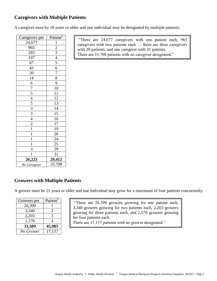#### <span id="page-6-0"></span>**Caregivers with Multiple Patients**

A caregiver must by 18 years or older and one individual may be designated by multiple patients.

| Caregivers per                                                                         | Patient <sup>3</sup>                                    |
|----------------------------------------------------------------------------------------|---------------------------------------------------------|
| 24,677                                                                                 | $\overline{1}$                                          |
| 965                                                                                    |                                                         |
| 283                                                                                    |                                                         |
| 107                                                                                    |                                                         |
| $\frac{67}{43}$                                                                        | $\frac{2}{3}$ $\frac{3}{4}$ $\frac{4}{5}$ $\frac{6}{7}$ |
|                                                                                        |                                                         |
|                                                                                        |                                                         |
| $\frac{20}{14}$ $\frac{14}{6}$ $\frac{7}{7}$ $\frac{5}{3}$ $\frac{4}{3}$ $\frac{2}{1}$ | $\overline{8}$                                          |
|                                                                                        | $\overline{9}$                                          |
|                                                                                        | $\overline{10}$                                         |
|                                                                                        | $\overline{11}$                                         |
|                                                                                        | $\frac{12}{13}$ $\frac{14}{15}$                         |
|                                                                                        |                                                         |
|                                                                                        |                                                         |
|                                                                                        |                                                         |
|                                                                                        | $\overline{16}$                                         |
|                                                                                        | $\overline{17}$                                         |
|                                                                                        |                                                         |
| $\overline{1}$                                                                         |                                                         |
|                                                                                        |                                                         |
| $\frac{1}{\frac{1}{3}}$                                                                | $\frac{19}{20}$<br>$\frac{20}{24}$<br>$\frac{25}{31}$   |
|                                                                                        |                                                         |
|                                                                                        |                                                         |
| 26,223                                                                                 | 29, 412                                                 |
| No Caregiver                                                                           | $\frac{1}{33,708}$                                      |

"There are 24,677 caregivers with one patient each, 965 caregivers with two patients each … there are three caregivers with 29 patients, and one caregiver with 31 patients. There are 33,708 patients with no caregiver designated."

#### <span id="page-6-1"></span>**Growers with Multiple Patients**

A grower must be 21 years or older and one individual may grow for a maximum of four patients concurrently.

| Growers per | Patient <sup>3</sup> |
|-------------|----------------------|
| 26,390      |                      |
| 3,340       | 2                    |
| 2,203       | 3                    |
| 1,576       | Δ                    |
| 33,509      | 45,983               |
| No Grower   | 17,137               |

"There are 26,390 growers growing for one patient each, 3,340 growers growing for two patients each, 2,203 growers growing for three patients each, and 1,576 growers growing for four patients each.

There are 17,137 patients with no grower designated."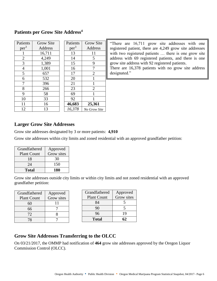#### <span id="page-7-0"></span>**Patients per Grow Site Address<sup>4</sup>**

| Patients         | <b>Grow Site</b> | Patients         | <b>Grow Site</b>    |
|------------------|------------------|------------------|---------------------|
| per <sup>3</sup> | Address          | per <sup>3</sup> | Address             |
| 1                | 16,711           | 13               | 11                  |
| $\overline{2}$   | 4,249            | 14               | 5                   |
| 3                | 1,389            | 15               | 9                   |
| $\overline{4}$   | 1,001            | 16               | 7                   |
| 5                | 657              | 17               | $\overline{2}$      |
| 6                | 532              | 20               |                     |
| 7                | 396              | 21               | 1                   |
| 8                | 266              | 23               | 2                   |
| 9                | 58               | 69               | 1                   |
| 10               | 33               | 92               |                     |
| 11               | 16               | 46,683           | 25,361              |
| 12               | 13               | 16,378           | <b>No Grow Site</b> |
|                  |                  |                  |                     |

"There are 16,711 grow site addresses with one registered patient, there are 4,249 grow site addresses with two registered patients … there is one grow site address with 69 registered patients, and there is one grow site address with 92 registered patients. There are 16,378 patients with no grow site address designated."

#### <span id="page-7-1"></span>**Larger Grow Site Addresses**

Grow site addresses designated by 3 or more patients: **4,910**

Grow site addresses within city limits and zoned residential with an approved grandfather petition:

| Grandfathered      | Approved   |
|--------------------|------------|
| <b>Plant Count</b> | Grow sites |
| 18                 | 30         |
| 24                 | 150        |
| Total              | 180        |

Grow site addresses outside city limits or within city limits and not zoned residential with an approved grandfather petition:

| Grandfathered      | Approved   |
|--------------------|------------|
| <b>Plant Count</b> | Grow sites |
| 60                 | 11         |
| 66                 |            |
| 72                 |            |
|                    |            |

| Grandfathered      | Approved   |
|--------------------|------------|
| <b>Plant Count</b> | Grow sites |
| 84                 |            |
| 90                 | 5          |
| 96                 | 19         |
| <b>Total</b>       |            |

#### <span id="page-7-2"></span>**Grow Site Addresses Transferring to the OLCC**

<span id="page-7-3"></span>On 03/21/2017, the OMMP had notification of **464** grow site addresses approved by the Oregon Liquor Commission Control (OLCC).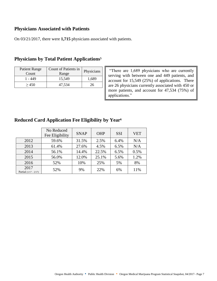#### **Physicians Associated with Patients**

On 03/21/2017, there were **1,715** physicians associated with patients.

| <b>Patient Range</b><br>Count | Count of Patients in<br>Range | Physicians |
|-------------------------------|-------------------------------|------------|
| 1 - 449                       | 15,549                        | 1,689      |
| > 450                         | 47,534                        | ,n         |

#### <span id="page-8-0"></span>**Physicians by Total Patient Applications<sup>5</sup>**

"There are 1,689 physicians who are currently serving with between one and 449 patients, and account for 15,549 (25%) of applications. There are 26 physicians currently associated with 450 or more patients, and account for 47,534 (75%) of applications."

#### <span id="page-8-1"></span>**Reduced Card Application Fee Eligibility by Year<sup>6</sup>**

|                                 | No Reduced<br>Fee Eligibility | <b>SNAP</b> | <b>OHP</b> | <b>SSI</b> | <b>VET</b> |
|---------------------------------|-------------------------------|-------------|------------|------------|------------|
| 2012                            | 59.6%                         | 31.5%       | 2.5%       | 6.4%       | N/A        |
| 2013                            | 61.4%                         | 27.6%       | 4.5%       | 6.5%       | N/A        |
| 2014                            | 56.1%                         | 14.4%       | 22.5%      | 6.5%       | 0.5%       |
| 2015                            | 56.0%                         | 12.0%       | 25.1%      | 5.6%       | 1.2%       |
| 2016                            | 52%                           | 10%         | 25%        | 5%         | 8%         |
| 2017<br>Partial $(1/17 - 2/17)$ | 52%                           | 9%          | 22%        | 6%         | 11%        |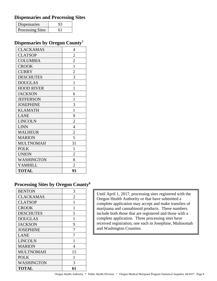#### <span id="page-9-0"></span>**Dispensaries and Processing Sites**

| Dispensaries            |  |
|-------------------------|--|
| <b>Processing Sites</b> |  |

#### <span id="page-9-1"></span>**Dispensaries by Oregon County<sup>7</sup>**

| <b>CLACKAMAS</b>  | $\overline{4}$ |
|-------------------|----------------|
| <b>CLATSOP</b>    | $\overline{c}$ |
| <b>COLUMBIA</b>   | $\overline{c}$ |
| <b>CROOK</b>      | $\mathbf{1}$   |
| <b>CURRY</b>      | $\overline{c}$ |
| <b>DESCHUTES</b>  | 3              |
| <b>DOUGLAS</b>    | $\mathbf{1}$   |
| <b>HOOD RIVER</b> | 1              |
| <b>JACKSON</b>    | 6              |
| <b>JEFFERSON</b>  | $\mathbf{1}$   |
| <b>JOSEPHINE</b>  | 3              |
| <b>KLAMATH</b>    | $\mathbf{1}$   |
| <b>LANE</b>       | 9              |
| <b>LINCOLN</b>    | $\overline{2}$ |
| <b>LINN</b>       | $\overline{4}$ |
| <b>MALHEUR</b>    | $\overline{c}$ |
| <b>MARION</b>     | 5              |
| <b>MULTNOMAH</b>  | 31             |
| <b>POLK</b>       | $\mathbf{1}$   |
| <b>UNION</b>      | $\overline{2}$ |
| WASHINGTON        | 8              |
| <b>YAMHILL</b>    | $\overline{2}$ |
| <b>TOTAL</b>      | 93             |

### <span id="page-9-2"></span>**Processing Sites by Oregon County<sup>8</sup>**

| <b>BENTON</b>    | 3  |
|------------------|----|
| <b>CLACKAMAS</b> | 2  |
| <b>CLATSOP</b>   | 1  |
| <b>CROOK</b>     | 1  |
| <b>DESCHUTES</b> | 5  |
| <b>DOUGLAS</b>   | 1  |
| <b>JACKSON</b>   | 9  |
| <b>JOSEPHINE</b> |    |
| <b>LANE</b>      |    |
| <b>LINCOLN</b>   | 1  |
| <b>MARION</b>    | 4  |
| <b>MULTNOMAH</b> | 15 |
| <b>POLK</b>      | 1  |
| WASHINGTON       | 3  |
| <b>TOTAL</b>     | 61 |

Until April 1, 2017, processing sites registered with the Oregon Health Authority or that have submitted a complete application may accept and make transfers of marijuana and cannabinoid products. These numbers include both those that are registered and those with a complete application. Three processing sites have received registration, one each in Josephine, Multnomah and Washington Counties.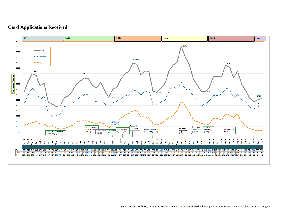#### **Card Applications Received**

<span id="page-10-0"></span>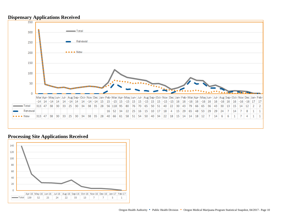

#### <span id="page-11-0"></span>**Processing Site Applications Received**

<span id="page-11-1"></span>